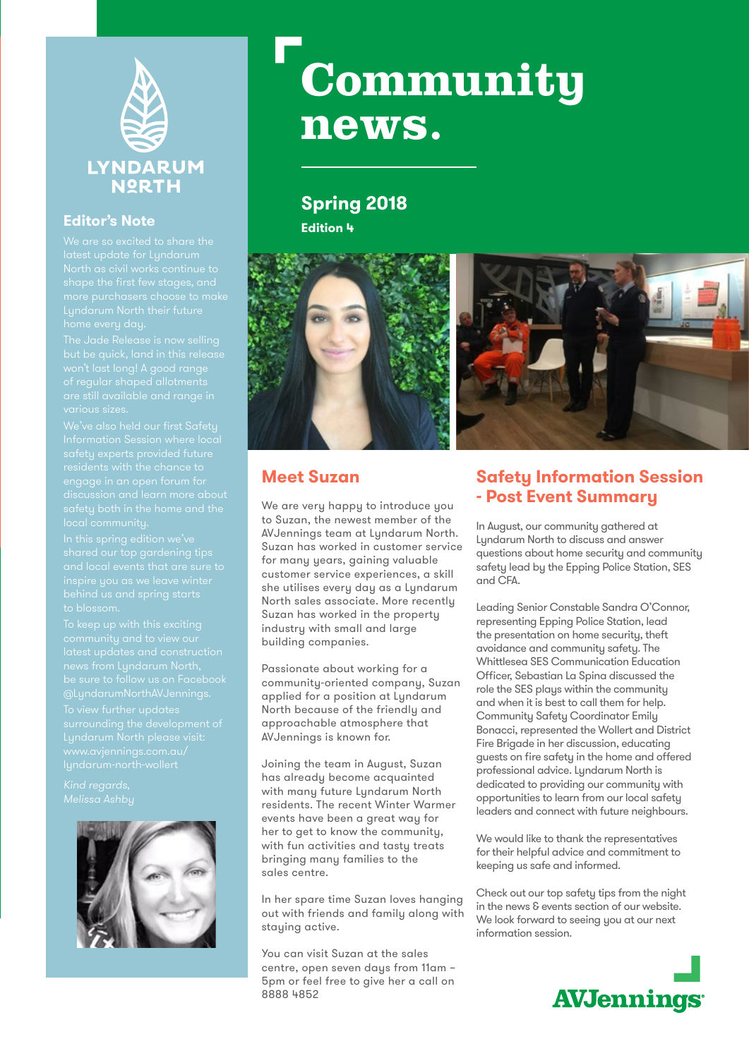

#### **Editor's Note**

surrounding the development of Lyndarum North please visit:



# Community news.

# **Spring 2018**

**Edition 4**





## **Meet Suzan**

We are very happy to introduce you to Suzan, the newest member of the AVJennings team at Lyndarum North. Suzan has worked in customer service for many years, gaining valuable customer service experiences, a skill she utilises every day as a Lyndarum North sales associate. More recently Suzan has worked in the property industry with small and large building companies.

Passionate about working for a community-oriented company, Suzan applied for a position at Lyndarum North because of the friendly and approachable atmosphere that AVJennings is known for.

Joining the team in August, Suzan has already become acquainted with many future Lyndarum North residents. The recent Winter Warmer events have been a great way for her to get to know the community, with fun activities and tasty treats bringing many families to the sales centre.

In her spare time Suzan loves hanging out with friends and family along with staying active.

You can visit Suzan at the sales centre, open seven days from 11am – 5pm or feel free to give her a call on 8888 4852

# **Safety Information Session - Post Event Summary**

In August, our community gathered at Lyndarum North to discuss and answer questions about home security and community safety lead by the Epping Police Station, SES and CFA.

Leading Senior Constable Sandra O'Connor, representing Epping Police Station, lead the presentation on home security, theft avoidance and community safety. The Whittlesea SES Communication Education Officer, Sebastian La Spina discussed the role the SES plays within the community and when it is best to call them for help. Community Safety Coordinator Emily Bonacci, represented the Wollert and District Fire Brigade in her discussion, educating guests on fire safety in the home and offered professional advice. Lyndarum North is dedicated to providing our community with opportunities to learn from our local safety leaders and connect with future neighbours.

We would like to thank the representatives for their helpful advice and commitment to keeping us safe and informed.

Check out our top safety tips from the night in the news & events section of our website. We look forward to seeing you at our next information session.

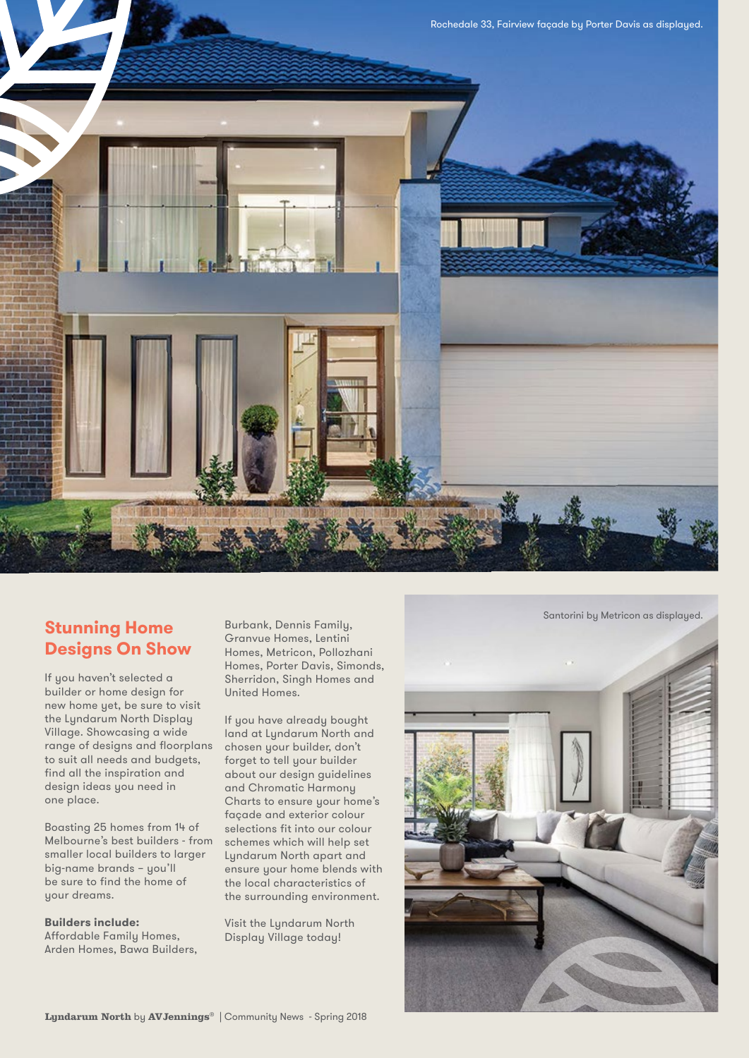

## **Stunning Home Designs On Show**

If you haven't selected a builder or home design for new home yet, be sure to visit the Lyndarum North Display Village. Showcasing a wide range of designs and floorplans to suit all needs and budgets, find all the inspiration and design ideas you need in one place.

Boasting 25 homes from 14 of Melbourne's best builders - from smaller local builders to larger big-name brands – you'll be sure to find the home of your dreams.

#### **Builders include:**

Affordable Family Homes, Arden Homes, Bawa Builders, Burbank, Dennis Family, Granvue Homes, Lentini Homes, Metricon, Pollozhani Homes, Porter Davis, Simonds, Sherridon, Singh Homes and United Homes.

If you have already bought land at Lyndarum North and chosen your builder, don't forget to tell your builder about our design guidelines and Chromatic Harmony Charts to ensure your home's façade and exterior colour selections fit into our colour schemes which will help set Lyndarum North apart and ensure your home blends with the local characteristics of the surrounding environment.

Visit the Lyndarum North Display Village today!

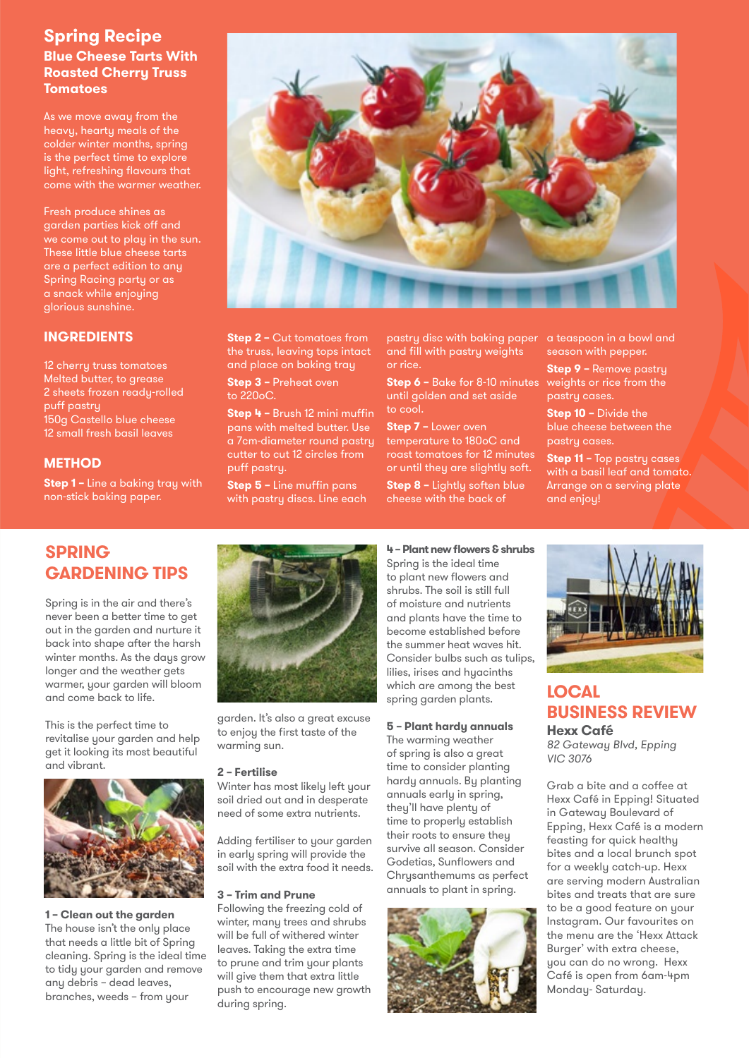#### **Spring Recipe Blue Cheese Tarts With Roasted Cherry Truss Tomatoes**

As we move away from the heavy, hearty meals of the colder winter months, spring is the perfect time to explore light, refreshing flavours that come with the warmer weather.

Fresh produce shines as garden parties kick off and we come out to play in the sun. These little blue cheese tarts are a perfect edition to any Spring Racing party or as a snack while enjoying glorious sunshine.

#### **INGREDIENTS**

12 cherry truss tomatoes Melted butter, to grease 2 sheets frozen ready-rolled puff pastry 150g Castello blue cheese 12 small fresh basil leaves

#### **METHOD**

**Step 1 –** Line a baking tray with non-stick baking paper.



**Step 2 –** Cut tomatoes from the truss, leaving tops intact and place on baking tray

**Step 3 –** Preheat oven to  $220<sub>o</sub>C$ 

**Step 4 –** Brush 12 mini muffin pans with melted butter. Use a 7cm-diameter round pastry cutter to cut 12 circles from puff pastry.

**Step 5 –** Line muffin pans with pastry discs. Line each pastry disc with baking paper and fill with pastry weights or rice.

**Step 6 –** Bake for 8-10 minutes until golden and set aside to cool.

**Step 7 –** Lower oven temperature to 180oC and roast tomatoes for 12 minutes or until they are slightly soft. **Step 8 –** Lightly soften blue cheese with the back of

a teaspoon in a bowl and season with pepper.

**Step 9 –** Remove pastry weights or rice from the pastry cases.

**Step 10 –** Divide the blue cheese between the pastry cases.

**Step 11 –** Top pastry cases with a basil leaf and tomato. Arrange on a serving plate and enjoy!

# **SPRING GARDENING TIPS**

Spring is in the air and there's never been a better time to get out in the garden and nurture it back into shape after the harsh winter months. As the days grow longer and the weather gets warmer, your garden will bloom and come back to life.

This is the perfect time to revitalise your garden and help get it looking its most beautiful and vibrant.



**1 – Clean out the garden** The house isn't the only place that needs a little bit of Spring cleaning. Spring is the ideal time to tidy your garden and remove any debris – dead leaves, branches, weeds – from your



garden. It's also a great excuse to enjoy the first taste of the warming sun.

#### **2 – Fertilise**

Winter has most likely left your soil dried out and in desperate need of some extra nutrients.

Adding fertiliser to your garden in early spring will provide the soil with the extra food it needs.

#### **3 – Trim and Prune**

Following the freezing cold of winter, many trees and shrubs will be full of withered winter leaves. Taking the extra time to prune and trim your plants will give them that extra little push to encourage new growth during spring.

#### **4 – Plant new flowers & shrubs**

Spring is the ideal time to plant new flowers and shrubs. The soil is still full of moisture and nutrients and plants have the time to become established before the summer heat waves hit. Consider bulbs such as tulips, lilies, irises and hyacinths which are among the best spring garden plants.

#### **5 – Plant hardy annuals**

The warming weather of spring is also a great time to consider planting hardy annuals. By planting annuals early in spring, they'll have plenty of time to properly establish their roots to ensure they survive all season. Consider Godetias, Sunflowers and Chrusanthemums as perfect annuals to plant in spring.





#### **LOCAL BUSINESS REVIEW Hexx Café**

*82 Gateway Blvd, Epping VIC 3076*

Grab a bite and a coffee at Hexx Café in Epping! Situated in Gateway Boulevard of Epping, Hexx Café is a modern feasting for quick healthy bites and a local brunch spot for a weekly catch-up. Hexx are serving modern Australian bites and treats that are sure to be a good feature on your Instagram. Our favourites on the menu are the 'Hexx Attack Burger' with extra cheese, you can do no wrong. Hexx Café is open from 6am-4pm Monday- Saturday.